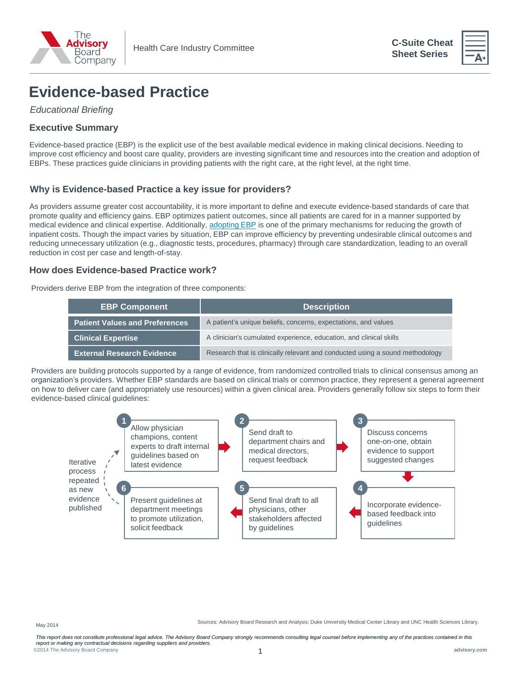

**C-Suite Cheat Sheet Series**



# **Evidence-based Practice**

*Educational Briefing*

# **Executive Summary**

Evidence-based practice (EBP) is the explicit use of the best available medical evidence in making clinical decisions. Needing to improve cost efficiency and boost care quality, providers are investing significant time and resources into the creation and adoption of EBPs. These practices guide clinicians in providing patients with the right care, at the right level, at the right time.

## **Why is Evidence-based Practice a key issue for providers?**

As providers assume greater cost accountability, it is more important to define and execute evidence-based standards of care that promote quality and efficiency gains. EBP optimizes patient outcomes, since all patients are cared for in a manner supported by medical evidence and clinical expertise. Additionally, [adopting EBP](http://www.advisory.com/Research/Physician-Executive-Council/Events/Webconferences/2014/Scale-Your-Evidence-Based-Practices-Organization-Wide) is one of the primary mechanisms for reducing the growth of inpatient costs. Though the impact varies by situation, EBP can improve efficiency by preventing undesirable clinical outcomes and reducing unnecessary utilization (e.g., diagnostic tests, procedures, pharmacy) through care standardization, leading to an overall reduction in cost per case and length-of-stay.

### **How does Evidence-based Practice work?**

Providers derive EBP from the integration of three components:

| <b>EBP Component</b>                  | <b>Description</b>                                                           |
|---------------------------------------|------------------------------------------------------------------------------|
| <b>Patient Values and Preferences</b> | A patient's unique beliefs, concerns, expectations, and values               |
| <b>Clinical Expertise</b>             | A clinician's cumulated experience, education, and clinical skills           |
| <b>External Research Evidence</b>     | Research that is clinically relevant and conducted using a sound methodology |

Providers are building protocols supported by a range of evidence, from randomized controlled trials to clinical consensus among an organization's providers. Whether EBP standards are based on clinical trials or common practice, they represent a general agreement on how to deliver care (and appropriately use resources) within a given clinical area. Providers generally follow six steps to form their evidence-based clinical guidelines:



Sources: Advisory Board Research and Analysis; Duke University Medical Center Library and UNC Health Sciences Library.

©2014 The Advisory Board Company **advisory.com** 1 This report does not constitute professional legal advice. The Advisory Board Company strongly recommends consulting legal counsel before implementing any of the practices contained in this *report or making any contractual decisions regarding suppliers and providers.*